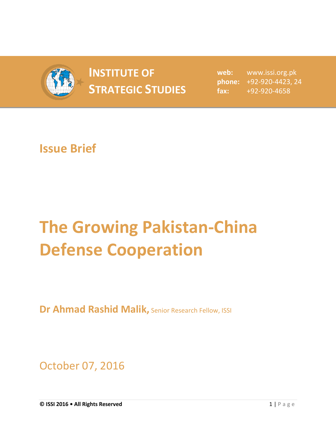

## **INSTITUTE OF STRATEGIC STUDIES**  $\begin{bmatrix} 1 & 1 \\ 1 & 2 \end{bmatrix}$

**web:** www.issi.org.pk **phone:** +92-920-4423, 24 **fax:** +92-920-4658

## **Issue Brief**

## **The Growing Pakistan-China Defense Cooperation**

**Dr Ahmad Rashid Malik,** Senior Research Fellow, ISSI

October 07, 2016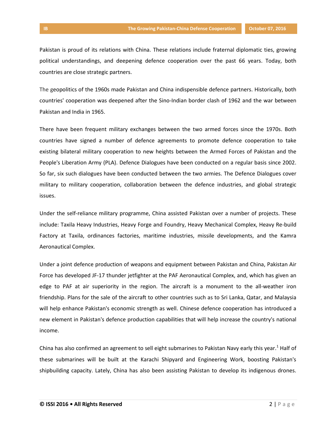Pakistan is proud of its relations with China. These relations include fraternal diplomatic ties, growing political understandings, and deepening defence cooperation over the past 66 years. Today, both countries are close strategic partners.

The geopolitics of the 1960s made Pakistan and China indispensible defence partners. Historically, both countries' cooperation was deepened after the Sino-Indian border clash of 1962 and the war between Pakistan and India in 1965.

There have been frequent military exchanges between the two armed forces since the 1970s. Both countries have signed a number of defence agreements to promote defence cooperation to take existing bilateral military cooperation to new heights between the Armed Forces of Pakistan and the People's Liberation Army (PLA). Defence Dialogues have been conducted on a regular basis since 2002. So far, six such dialogues have been conducted between the two armies. The Defence Dialogues cover military to military cooperation, collaboration between the defence industries, and global strategic issues.

Under the self-reliance military programme, China assisted Pakistan over a number of projects. These include: Taxila Heavy Industries, Heavy Forge and Foundry, Heavy Mechanical Complex, Heavy Re-build Factory at Taxila, ordinances factories, maritime industries, missile developments, and the Kamra Aeronautical Complex.

Under a joint defence production of weapons and equipment between Pakistan and China, Pakistan Air Force has developed JF-17 thunder jetfighter at the PAF Aeronautical Complex, and, which has given an edge to PAF at air superiority in the region. The aircraft is a monument to the all-weather iron friendship. Plans for the sale of the aircraft to other countries such as to Sri Lanka, Qatar, and Malaysia will help enhance Pakistan's economic strength as well. Chinese defence cooperation has introduced a new element in Pakistan's defence production capabilities that will help increase the country's national income.

China has also confirmed an agreement to sell eight submarines to Pakistan Navy early this year.<sup>1</sup> Half of these submarines will be built at the Karachi Shipyard and Engineering Work, boosting Pakistan's shipbuilding capacity. Lately, China has also been assisting Pakistan to develop its indigenous drones.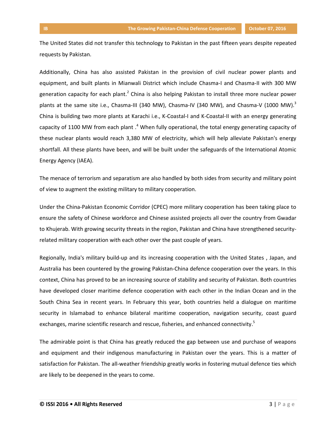The United States did not transfer this technology to Pakistan in the past fifteen years despite repeated requests by Pakistan.

Additionally, China has also assisted Pakistan in the provision of civil nuclear power plants and equipment, and built plants in Mianwali District which include Chasma-I and Chasma-II with 300 MW generation capacity for each plant.<sup>2</sup> China is also helping Pakistan to install three more nuclear power plants at the same site i.e., Chasma-III (340 MW), Chasma-IV (340 MW), and Chasma-V (1000 MW).<sup>3</sup> China is building two more plants at Karachi i.e., K-Coastal-I and K-Coastal-II with an energy generating capacity of 1100 MW from each plant .<sup>4</sup> When fully operational, the total energy generating capacity of these nuclear plants would reach 3,380 MW of electricity, which will help alleviate Pakistan's energy shortfall. All these plants have been, and will be built under the safeguards of the International Atomic Energy Agency (IAEA).

The menace of terrorism and separatism are also handled by both sides from security and military point of view to augment the existing military to military cooperation.

Under the China-Pakistan Economic Corridor (CPEC) more military cooperation has been taking place to ensure the safety of Chinese workforce and Chinese assisted projects all over the country from Gwadar to Khujerab. With growing security threats in the region, Pakistan and China have strengthened securityrelated military cooperation with each other over the past couple of years.

Regionally, India's military build-up and its increasing cooperation with the United States , Japan, and Australia has been countered by the growing Pakistan-China defence cooperation over the years. In this context, China has proved to be an increasing source of stability and security of Pakistan. Both countries have developed closer maritime defence cooperation with each other in the Indian Ocean and in the South China Sea in recent years. In February this year, both countries held a dialogue on maritime security in Islamabad to enhance bilateral maritime cooperation, navigation security, coast guard exchanges, marine scientific research and rescue, fisheries, and enhanced connectivity.<sup>5</sup>

The admirable point is that China has greatly reduced the gap between use and purchase of weapons and equipment and their indigenous manufacturing in Pakistan over the years. This is a matter of satisfaction for Pakistan. The all-weather friendship greatly works in fostering mutual defence ties which are likely to be deepened in the years to come.